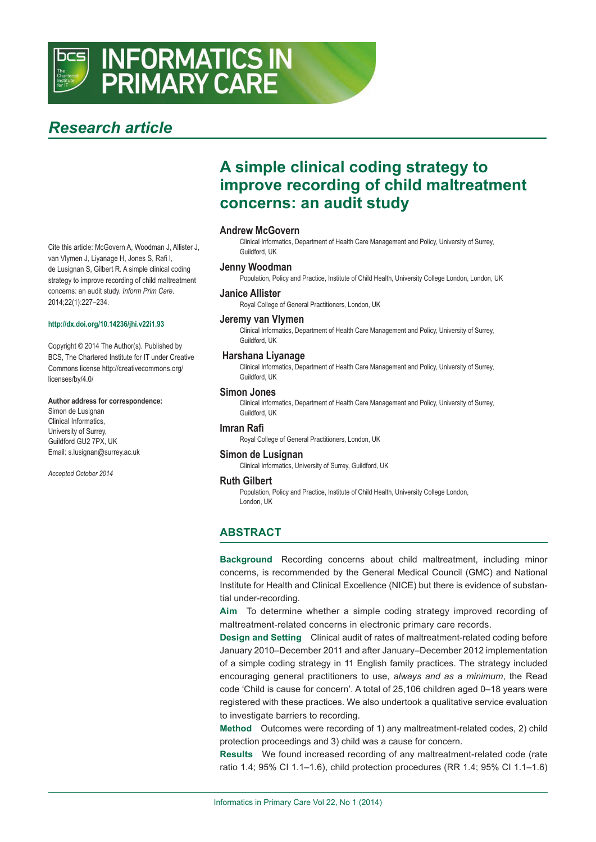# **INFORMATICS IN<br>PRIMARY CARE**

# *Research article*

Cite this article: McGovern A, Woodman J, Allister J, van Vlymen J, Liyanage H, Jones S, Rafi I, de Lusignan S, Gilbert R. A simple clinical coding strategy to improve recording of child maltreatment concerns: an audit study. *Inform Prim Care*. 2014;22(1):227–234.

#### **http://dx.doi.org/10.14236/jhi.v22i1.93**

Copyright © 2014 The Author(s). Published by BCS, The Chartered Institute for IT under Creative Commons license http://creativecommons.org/ licenses/by/4.0/

#### **Author address for correspondence:**

Simon de Lusignan Clinical Informatics, University of Surrey, Guildford GU2 7PX, UK Email: [s.lusignan@surrey.ac.uk](mailto:s.lusignan@surrey.ac.uk)

*Accepted October 2014*

## **A simple clinical coding strategy to improve recording of child maltreatment concerns: an audit study**

#### **Andrew McGovern**

Clinical Informatics, Department of Health Care Management and Policy, University of Surrey, Guildford, UK

## **Jenny Woodman**

Population, Policy and Practice, Institute of Child Health, University College London, London, UK

#### **Janice Allister**

Royal College of General Practitioners, London, UK

#### **Jeremy van Vlymen**

Clinical Informatics, Department of Health Care Management and Policy, University of Surrey, Guildford, UK

## **Harshana Liyanage**

Clinical Informatics, Department of Health Care Management and Policy, University of Surrey, Guildford, UK

## **Simon Jones**

Clinical Informatics, Department of Health Care Management and Policy, University of Surrey, Guildford, UK

## **Imran Rafi**

Royal College of General Practitioners, London, UK

### **Simon de Lusignan**

Clinical Informatics, University of Surrey, Guildford, UK

## **Ruth Gilbert**

Population, Policy and Practice, Institute of Child Health, University College London, London, UK

## **ABSTRACT**

**Background** Recording concerns about child maltreatment, including minor concerns, is recommended by the General Medical Council (GMC) and National Institute for Health and Clinical Excellence (NICE) but there is evidence of substantial under-recording.

**Aim** To determine whether a simple coding strategy improved recording of maltreatment-related concerns in electronic primary care records.

**Design and Setting** Clinical audit of rates of maltreatment-related coding before January 2010–December 2011 and after January–December 2012 implementation of a simple coding strategy in 11 English family practices. The strategy included encouraging general practitioners to use, *always and as a minimum*, the Read code 'Child is cause for concern'. A total of 25,106 children aged 0–18 years were registered with these practices. We also undertook a qualitative service evaluation to investigate barriers to recording.

**Method** Outcomes were recording of 1) any maltreatment-related codes, 2) child protection proceedings and 3) child was a cause for concern.

**Results** We found increased recording of any maltreatment-related code (rate ratio 1.4; 95% CI 1.1–1.6), child protection procedures (RR 1.4; 95% CI 1.1–1.6)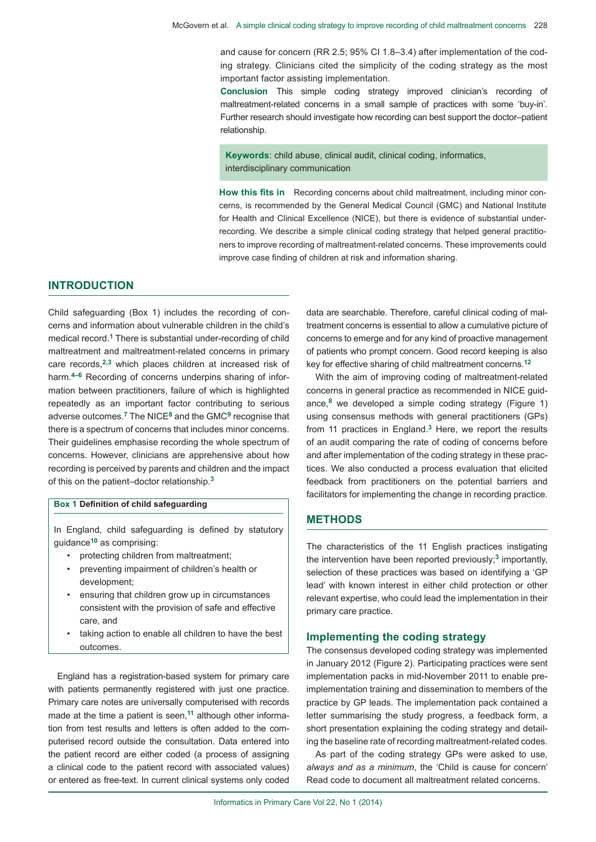and cause for concern (RR 2.5; 95% CI 1.8–3.4) after implementation of the coding strategy. Clinicians cited the simplicity of the coding strategy as the most important factor assisting implementation.

**Conclusion** This simple coding strategy improved clinician's recording of maltreatment-related concerns in a small sample of practices with some 'buy-in'. Further research should investigate how recording can best support the doctor–patient relationship.

**Keywords**: child abuse, clinical audit, clinical coding, informatics, interdisciplinary communication

**How this fits in** Recording concerns about child maltreatment, including minor concerns, is recommended by the General Medical Council (GMC) and National Institute for Health and Clinical Excellence (NICE), but there is evidence of substantial underrecording. We describe a simple clinical coding strategy that helped general practitioners to improve recording of maltreatment-related concerns. These improvements could improve case finding of children at risk and information sharing.

## **INTRODUCTION**

Child safeguarding (Box 1) includes the recording of concerns and information about vulnerable children in the child's medical record.**1** There is substantial under-recording of child maltreatment and maltreatment-related concerns in primary care records,**2,3** which places children at increased risk of harm.**4–6** Recording of concerns underpins sharing of information between practitioners, failure of which is highlighted repeatedly as an important factor contributing to serious adverse outcomes.**7** The NICE**8** and the GMC**9** recognise that there is a spectrum of concerns that includes minor concerns. Their guidelines emphasise recording the whole spectrum of concerns. However, clinicians are apprehensive about how recording is perceived by parents and children and the impact of this on the patient–doctor relationship.**<sup>3</sup>**

## **Box 1 Definition of child safeguarding**

In England, child safeguarding is defined by statutory guidance**10** as comprising:

- protecting children from maltreatment;
- preventing impairment of children's health or development;
- ensuring that children grow up in circumstances consistent with the provision of safe and effective care, and
- taking action to enable all children to have the best outcomes.

England has a registration-based system for primary care with patients permanently registered with just one practice. Primary care notes are universally computerised with records made at the time a patient is seen,**11** although other information from test results and letters is often added to the computerised record outside the consultation. Data entered into the patient record are either coded (a process of assigning a clinical code to the patient record with associated values) or entered as free-text. In current clinical systems only coded data are searchable. Therefore, careful clinical coding of maltreatment concerns is essential to allow a cumulative picture of concerns to emerge and for any kind of proactive management of patients who prompt concern. Good record keeping is also key for effective sharing of child maltreatment concerns.**<sup>12</sup>**

With the aim of improving coding of maltreatment-related concerns in general practice as recommended in NICE guidance,**8** we developed a simple coding strategy (Figure 1) using consensus methods with general practitioners (GPs) from 11 practices in England.**3** Here, we report the results of an audit comparing the rate of coding of concerns before and after implementation of the coding strategy in these practices. We also conducted a process evaluation that elicited feedback from practitioners on the potential barriers and facilitators for implementing the change in recording practice.

## **METHODS**

The characteristics of the 11 English practices instigating the intervention have been reported previously;**3** importantly, selection of these practices was based on identifying a 'GP lead' with known interest in either child protection or other relevant expertise, who could lead the implementation in their primary care practice.

## **Implementing the coding strategy**

The consensus developed coding strategy was implemented in January 2012 (Figure 2). Participating practices were sent implementation packs in mid-November 2011 to enable preimplementation training and dissemination to members of the practice by GP leads. The implementation pack contained a letter summarising the study progress, a feedback form, a short presentation explaining the coding strategy and detailing the baseline rate of recording maltreatment-related codes.

As part of the coding strategy GPs were asked to use, *always and as a minimum*, the 'Child is cause for concern' Read code to document all maltreatment related concerns.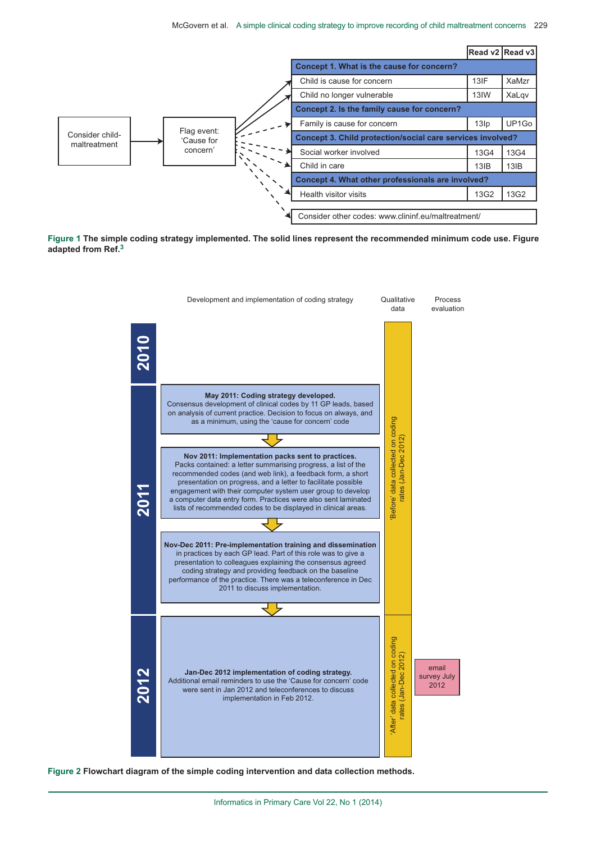

**Figure 1 The simple coding strategy implemented. The solid lines represent the recommended minimum code use. Figure adapted from Ref.3**



**Figure 2 Flowchart diagram of the simple coding intervention and data collection methods.**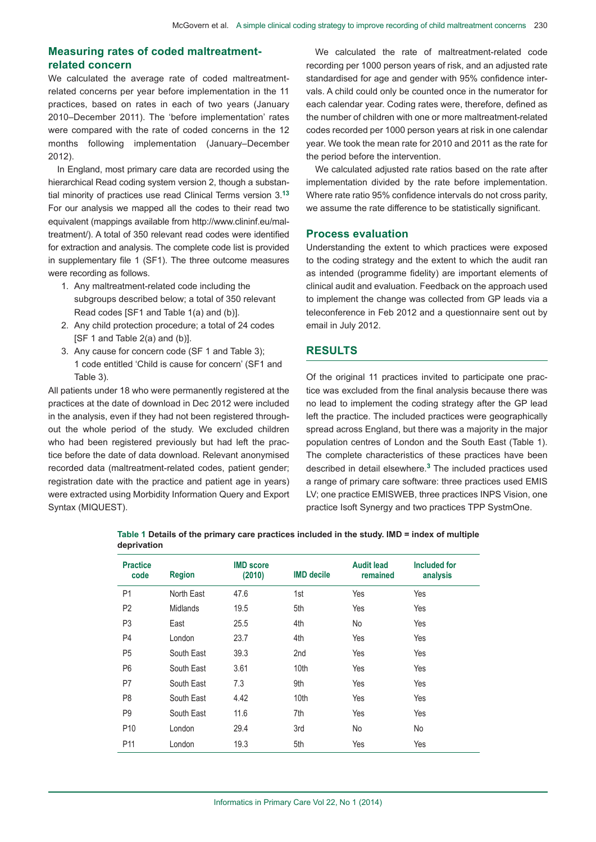## **Measuring rates of coded maltreatmentrelated concern**

We calculated the average rate of coded maltreatmentrelated concerns per year before implementation in the 11 practices, based on rates in each of two years (January 2010–December 2011). The 'before implementation' rates were compared with the rate of coded concerns in the 12 months following implementation (January–December 2012).

In England, most primary care data are recorded using the hierarchical Read coding system version 2, though a substantial minority of practices use read Clinical Terms version 3.**<sup>13</sup>** For our analysis we mapped all the codes to their read two equivalent (mappings available from [http://www.clininf.eu/mal](http://www.clininf.eu/maltreatment/)[treatment/\)](http://www.clininf.eu/maltreatment/). A total of 350 relevant read codes were identified for extraction and analysis. The complete code list is provided in supplementary file 1 (SF1). The three outcome measures were recording as follows.

- 1. Any maltreatment-related code including the subgroups described below; a total of 350 relevant Read codes [SF1 and Table 1(a) and (b)].
- 2. Any child protection procedure; a total of 24 codes [SF 1 and Table 2(a) and (b)].
- 3. Any cause for concern code (SF 1 and Table 3); 1 code entitled 'Child is cause for concern' (SF1 and Table 3).

All patients under 18 who were permanently registered at the practices at the date of download in Dec 2012 were included in the analysis, even if they had not been registered throughout the whole period of the study. We excluded children who had been registered previously but had left the practice before the date of data download. Relevant anonymised recorded data (maltreatment-related codes, patient gender; registration date with the practice and patient age in years) were extracted using Morbidity Information Query and Export Syntax (MIQUEST).

We calculated the rate of maltreatment-related code recording per 1000 person years of risk, and an adjusted rate standardised for age and gender with 95% confidence intervals. A child could only be counted once in the numerator for each calendar year. Coding rates were, therefore, defined as the number of children with one or more maltreatment-related codes recorded per 1000 person years at risk in one calendar year. We took the mean rate for 2010 and 2011 as the rate for the period before the intervention.

We calculated adjusted rate ratios based on the rate after implementation divided by the rate before implementation. Where rate ratio 95% confidence intervals do not cross parity, we assume the rate difference to be statistically significant.

## **Process evaluation**

Understanding the extent to which practices were exposed to the coding strategy and the extent to which the audit ran as intended (programme fidelity) are important elements of clinical audit and evaluation. Feedback on the approach used to implement the change was collected from GP leads via a teleconference in Feb 2012 and a questionnaire sent out by email in July 2012.

## **RESULTS**

Of the original 11 practices invited to participate one practice was excluded from the final analysis because there was no lead to implement the coding strategy after the GP lead left the practice. The included practices were geographically spread across England, but there was a majority in the major population centres of London and the South East (Table 1). The complete characteristics of these practices have been described in detail elsewhere.**3** The included practices used a range of primary care software: three practices used EMIS LV; one practice EMISWEB, three practices INPS Vision, one practice Isoft Synergy and two practices TPP SystmOne.

| <b>Practice</b><br>code | <b>Region</b> | <b>IMD</b> score<br>(2010) | <b>IMD decile</b> | <b>Audit lead</b><br>remained | <b>Included for</b><br>analysis |
|-------------------------|---------------|----------------------------|-------------------|-------------------------------|---------------------------------|
| P1                      | North East    | 47.6                       | 1st               | Yes                           | Yes                             |
| P <sub>2</sub>          | Midlands      | 19.5                       | 5th               | Yes                           | Yes                             |
| P <sub>3</sub>          | East          | 25.5                       | 4th               | No                            | Yes                             |
| P <sub>4</sub>          | London        | 23.7                       | 4th               | Yes                           | Yes                             |
| P <sub>5</sub>          | South East    | 39.3                       | 2nd               | Yes                           | Yes                             |
| P <sub>6</sub>          | South East    | 3.61                       | 10th              | Yes                           | Yes                             |
| P7                      | South East    | 7.3                        | 9th               | Yes                           | Yes                             |
| P <sub>8</sub>          | South East    | 4.42                       | 10th              | Yes                           | Yes                             |
| P <sub>9</sub>          | South East    | 11.6                       | 7th               | Yes                           | Yes                             |
| P <sub>10</sub>         | London        | 29.4                       | 3rd               | No                            | No                              |
| P <sub>11</sub>         | London        | 19.3                       | 5th               | Yes                           | Yes                             |

| Table 1 Details of the primary care practices included in the study. IMD = index of multiple |  |  |
|----------------------------------------------------------------------------------------------|--|--|
| deprivation                                                                                  |  |  |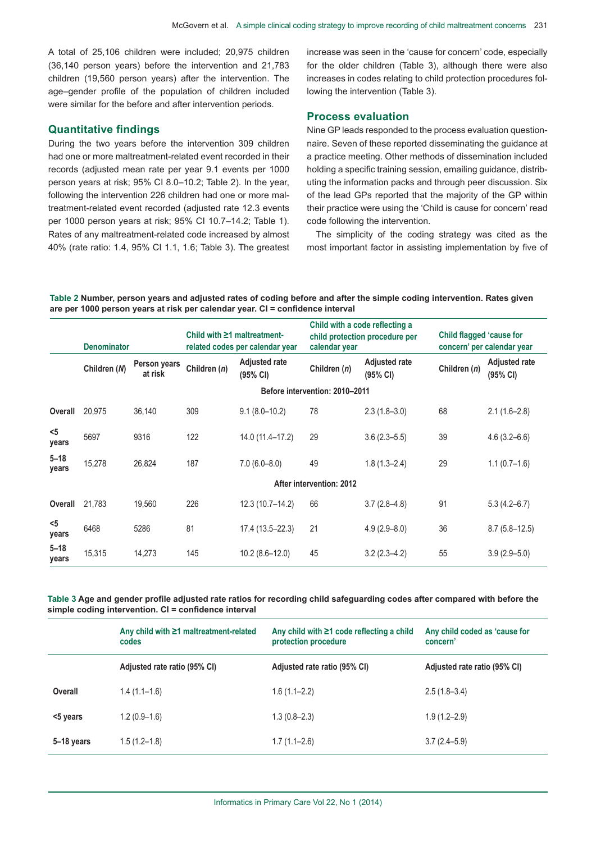A total of 25,106 children were included; 20,975 children (36,140 person years) before the intervention and 21,783 children (19,560 person years) after the intervention. The age–gender profile of the population of children included were similar for the before and after intervention periods.

## **Quantitative findings**

During the two years before the intervention 309 children had one or more maltreatment-related event recorded in their records (adjusted mean rate per year 9.1 events per 1000 person years at risk; 95% CI 8.0–10.2; Table 2). In the year, following the intervention 226 children had one or more maltreatment-related event recorded (adjusted rate 12.3 events per 1000 person years at risk; 95% CI 10.7–14.2; Table 1). Rates of any maltreatment-related code increased by almost 40% (rate ratio: 1.4, 95% CI 1.1, 1.6; Table 3). The greatest increase was seen in the 'cause for concern' code, especially for the older children (Table 3), although there were also increases in codes relating to child protection procedures following the intervention (Table 3).

### **Process evaluation**

Nine GP leads responded to the process evaluation questionnaire. Seven of these reported disseminating the guidance at a practice meeting. Other methods of dissemination included holding a specific training session, emailing guidance, distributing the information packs and through peer discussion. Six of the lead GPs reported that the majority of the GP within their practice were using the 'Child is cause for concern' read code following the intervention.

The simplicity of the coding strategy was cited as the most important factor in assisting implementation by five of

**Table 2 Number, person years and adjusted rates of coding before and after the simple coding intervention. Rates given are per 1000 person years at risk per calendar year. CI = confidence interval**

|                   | <b>Denominator</b>       |                                | Child with $\geq 1$ maltreatment-<br>related codes per calendar year |                                  | Child with a code reflecting a<br>child protection procedure per<br>calendar year |                                  | Child flagged 'cause for<br>concern' per calendar year |                                  |
|-------------------|--------------------------|--------------------------------|----------------------------------------------------------------------|----------------------------------|-----------------------------------------------------------------------------------|----------------------------------|--------------------------------------------------------|----------------------------------|
|                   | Children (N)             | Person years<br>at risk        | Children (n)                                                         | <b>Adjusted rate</b><br>(95% CI) | Children (n)                                                                      | <b>Adjusted rate</b><br>(95% CI) | Children (n)                                           | <b>Adjusted rate</b><br>(95% CI) |
|                   |                          | Before intervention: 2010-2011 |                                                                      |                                  |                                                                                   |                                  |                                                        |                                  |
| Overall           | 20,975                   | 36,140                         | 309                                                                  | $9.1(8.0-10.2)$                  | 78                                                                                | $2.3(1.8-3.0)$                   | 68                                                     | $2.1(1.6-2.8)$                   |
| $5$<br>years      | 5697                     | 9316                           | 122                                                                  | 14.0 (11.4–17.2)                 | 29                                                                                | $3.6(2.3 - 5.5)$                 | 39                                                     | $4.6(3.2 - 6.6)$                 |
| $5 - 18$<br>years | 15,278                   | 26,824                         | 187                                                                  | $7.0(6.0 - 8.0)$                 | 49                                                                                | $1.8(1.3 - 2.4)$                 | 29                                                     | $1.1(0.7-1.6)$                   |
|                   | After intervention: 2012 |                                |                                                                      |                                  |                                                                                   |                                  |                                                        |                                  |
| <b>Overall</b>    | 21,783                   | 19,560                         | 226                                                                  | 12.3 (10.7-14.2)                 | 66                                                                                | $3.7(2.8-4.8)$                   | 91                                                     | $5.3(4.2 - 6.7)$                 |
| $5$<br>years      | 6468                     | 5286                           | 81                                                                   | $17.4(13.5 - 22.3)$              | 21                                                                                | $4.9(2.9 - 8.0)$                 | 36                                                     | $8.7(5.8 - 12.5)$                |
| $5 - 18$<br>years | 15,315                   | 14.273                         | 145                                                                  | $10.2(8.6 - 12.0)$               | 45                                                                                | $3.2(2.3 - 4.2)$                 | 55                                                     | $3.9(2.9 - 5.0)$                 |

**Table 3 Age and gender profile adjusted rate ratios for recording child safeguarding codes after compared with before the simple coding intervention. CI = confidence interval**

|            | Any child with $\geq 1$ maltreatment-related<br>codes | Any child with $\geq 1$ code reflecting a child<br>protection procedure | Any child coded as 'cause for<br>concern' |  |
|------------|-------------------------------------------------------|-------------------------------------------------------------------------|-------------------------------------------|--|
|            | Adjusted rate ratio (95% CI)                          | Adjusted rate ratio (95% CI)                                            | Adjusted rate ratio (95% CI)              |  |
| Overall    | $1.4(1.1-1.6)$                                        | $1.6(1.1 - 2.2)$                                                        | $2.5(1.8-3.4)$                            |  |
| <5 years   | $1.2(0.9-1.6)$                                        | $1.3(0.8 - 2.3)$                                                        | $1.9(1.2 - 2.9)$                          |  |
| 5-18 years | $1.5(1.2 - 1.8)$                                      | $1.7(1.1 - 2.6)$                                                        | $3.7(2.4 - 5.9)$                          |  |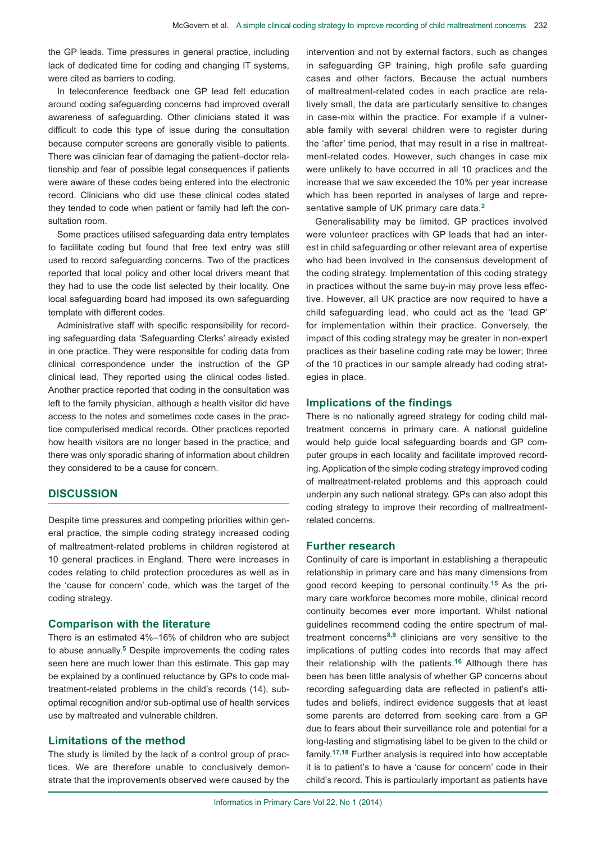the GP leads. Time pressures in general practice, including lack of dedicated time for coding and changing IT systems, were cited as barriers to coding.

In teleconference feedback one GP lead felt education around coding safeguarding concerns had improved overall awareness of safeguarding. Other clinicians stated it was difficult to code this type of issue during the consultation because computer screens are generally visible to patients. There was clinician fear of damaging the patient–doctor relationship and fear of possible legal consequences if patients were aware of these codes being entered into the electronic record. Clinicians who did use these clinical codes stated they tended to code when patient or family had left the consultation room.

Some practices utilised safeguarding data entry templates to facilitate coding but found that free text entry was still used to record safeguarding concerns. Two of the practices reported that local policy and other local drivers meant that they had to use the code list selected by their locality. One local safeguarding board had imposed its own safeguarding template with different codes.

Administrative staff with specific responsibility for recording safeguarding data 'Safeguarding Clerks' already existed in one practice. They were responsible for coding data from clinical correspondence under the instruction of the GP clinical lead. They reported using the clinical codes listed. Another practice reported that coding in the consultation was left to the family physician, although a health visitor did have access to the notes and sometimes code cases in the practice computerised medical records. Other practices reported how health visitors are no longer based in the practice, and there was only sporadic sharing of information about children they considered to be a cause for concern.

## **DISCUSSION**

Despite time pressures and competing priorities within general practice, the simple coding strategy increased coding of maltreatment-related problems in children registered at 10 general practices in England. There were increases in codes relating to child protection procedures as well as in the 'cause for concern' code, which was the target of the coding strategy.

### **Comparison with the literature**

There is an estimated 4%–16% of children who are subject to abuse annually.**5** Despite improvements the coding rates seen here are much lower than this estimate. This gap may be explained by a continued reluctance by GPs to code maltreatment-related problems in the child's records (14), suboptimal recognition and/or sub-optimal use of health services use by maltreated and vulnerable children.

## **Limitations of the method**

The study is limited by the lack of a control group of practices. We are therefore unable to conclusively demonstrate that the improvements observed were caused by the intervention and not by external factors, such as changes in safeguarding GP training, high profile safe guarding cases and other factors. Because the actual numbers of maltreatment-related codes in each practice are relatively small, the data are particularly sensitive to changes in case-mix within the practice. For example if a vulnerable family with several children were to register during the 'after' time period, that may result in a rise in maltreatment-related codes. However, such changes in case mix were unlikely to have occurred in all 10 practices and the increase that we saw exceeded the 10% per year increase which has been reported in analyses of large and representative sample of UK primary care data.**<sup>2</sup>**

Generalisability may be limited. GP practices involved were volunteer practices with GP leads that had an interest in child safeguarding or other relevant area of expertise who had been involved in the consensus development of the coding strategy. Implementation of this coding strategy in practices without the same buy-in may prove less effective. However, all UK practice are now required to have a child safeguarding lead, who could act as the 'lead GP' for implementation within their practice. Conversely, the impact of this coding strategy may be greater in non-expert practices as their baseline coding rate may be lower; three of the 10 practices in our sample already had coding strategies in place.

## **Implications of the findings**

There is no nationally agreed strategy for coding child maltreatment concerns in primary care. A national guideline would help guide local safeguarding boards and GP computer groups in each locality and facilitate improved recording. Application of the simple coding strategy improved coding of maltreatment-related problems and this approach could underpin any such national strategy. GPs can also adopt this coding strategy to improve their recording of maltreatmentrelated concerns.

## **Further research**

Continuity of care is important in establishing a therapeutic relationship in primary care and has many dimensions from good record keeping to personal continuity.**15** As the primary care workforce becomes more mobile, clinical record continuity becomes ever more important. Whilst national guidelines recommend coding the entire spectrum of maltreatment concerns**8,9** clinicians are very sensitive to the implications of putting codes into records that may affect their relationship with the patients.**16** Although there has been has been little analysis of whether GP concerns about recording safeguarding data are reflected in patient's attitudes and beliefs, indirect evidence suggests that at least some parents are deterred from seeking care from a GP due to fears about their surveillance role and potential for a long-lasting and stigmatising label to be given to the child or family.**17,18** Further analysis is required into how acceptable it is to patient's to have a 'cause for concern' code in their child's record. This is particularly important as patients have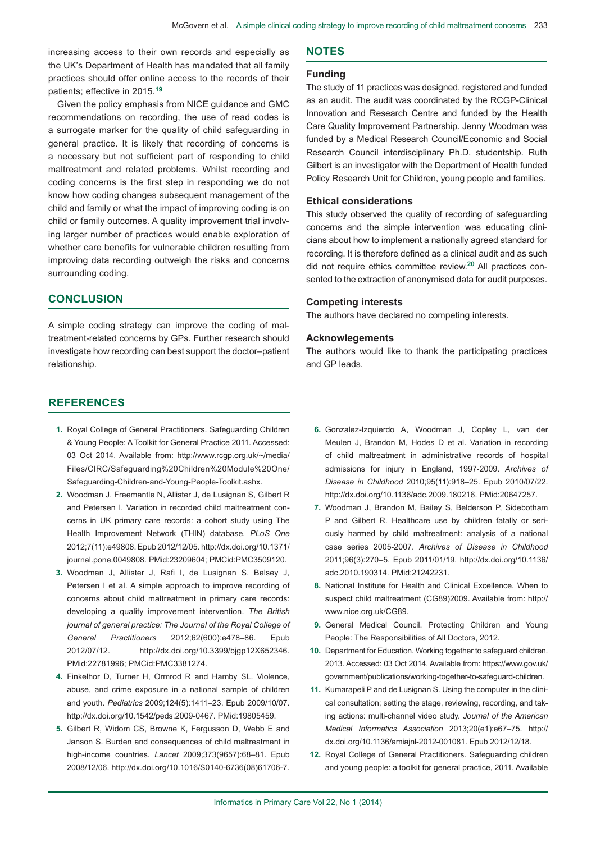increasing access to their own records and especially as the UK's Department of Health has mandated that all family practices should offer online access to the records of their patients; effective in 2015.**<sup>19</sup>**

Given the policy emphasis from NICE guidance and GMC recommendations on recording, the use of read codes is a surrogate marker for the quality of child safeguarding in general practice. It is likely that recording of concerns is a necessary but not sufficient part of responding to child maltreatment and related problems. Whilst recording and coding concerns is the first step in responding we do not know how coding changes subsequent management of the child and family or what the impact of improving coding is on child or family outcomes. A quality improvement trial involving larger number of practices would enable exploration of whether care benefits for vulnerable children resulting from improving data recording outweigh the risks and concerns surrounding coding.

## **CONCLUSION**

A simple coding strategy can improve the coding of maltreatment-related concerns by GPs. Further research should investigate how recording can best support the doctor–patient relationship.

## **REFERENCES**

- **1.** Royal College of General Practitioners. Safeguarding Children & Young People: A Toolkit for General Practice 2011. Accessed: 03 Oct 2014. Available from: [http://www.rcgp.org.uk/~/media/](http://www.rcgp.org.uk/~/media/Files/CIRC/Safeguarding%20Children%20Module%20One/Safeguarding-Children-and-Young-People-Toolkit.ashx) [Files/CIRC/Safeguarding%20Children%20Module%20One/](http://www.rcgp.org.uk/~/media/Files/CIRC/Safeguarding%20Children%20Module%20One/Safeguarding-Children-and-Young-People-Toolkit.ashx) [Safeguarding-Children-and-Young-People-Toolkit.ashx](http://www.rcgp.org.uk/~/media/Files/CIRC/Safeguarding%20Children%20Module%20One/Safeguarding-Children-and-Young-People-Toolkit.ashx).
- **2.** Woodman J, Freemantle N, Allister J, de Lusignan S, Gilbert R and Petersen I. Variation in recorded child maltreatment concerns in UK primary care records: a cohort study using The Health Improvement Network (THIN) database. *PLoS One* 2012;7(11):e49808. Epub 2012/12/05. [http://dx.doi.org/10.1371/](http://dx.doi.org/10.1371/journal.pone.0049808) [journal.pone.0049808](http://dx.doi.org/10.1371/journal.pone.0049808). PMid:23209604; PMCid:PMC3509120.
- **3.** Woodman J, Allister J, Rafi I, de Lusignan S, Belsey J, Petersen I et al. A simple approach to improve recording of concerns about child maltreatment in primary care records: developing a quality improvement intervention. *The British journal of general practice: The Journal of the Royal College of General Practitioners* 2012;62(600):e478–86. Epub 2012/07/12. <http://dx.doi.org/10.3399/bjgp12X652346>. PMid:22781996; PMCid:PMC3381274.
- **4.** Finkelhor D, Turner H, Ormrod R and Hamby SL. Violence, abuse, and crime exposure in a national sample of children and youth. *Pediatrics* 2009;124(5):1411–23. Epub 2009/10/07. <http://dx.doi.org/10.1542/peds.2009-0467>. PMid:19805459.
- **5.** Gilbert R, Widom CS, Browne K, Fergusson D, Webb E and Janson S. Burden and consequences of child maltreatment in high-income countries. *Lancet* 2009;373(9657):68–81. Epub 2008/12/06. [http://dx.doi.org/10.1016/S0140-6736\(08\)61706-7](http://dx.doi.org/10.1016/S0140-6736(08)61706-7).

## **NOTES**

## **Funding**

The study of 11 practices was designed, registered and funded as an audit. The audit was coordinated by the RCGP-Clinical Innovation and Research Centre and funded by the Health Care Quality Improvement Partnership. Jenny Woodman was funded by a Medical Research Council/Economic and Social Research Council interdisciplinary Ph.D. studentship. Ruth Gilbert is an investigator with the Department of Health funded Policy Research Unit for Children, young people and families.

## **Ethical considerations**

This study observed the quality of recording of safeguarding concerns and the simple intervention was educating clinicians about how to implement a nationally agreed standard for recording. It is therefore defined as a clinical audit and as such did not require ethics committee review.**20** All practices consented to the extraction of anonymised data for audit purposes.

## **Competing interests**

The authors have declared no competing interests.

## **Acknowlegements**

The authors would like to thank the participating practices and GP leads.

- **6.** Gonzalez-Izquierdo A, Woodman J, Copley L, van der Meulen J, Brandon M, Hodes D et al. Variation in recording of child maltreatment in administrative records of hospital admissions for injury in England, 1997-2009. *Archives of Disease in Childhood* 2010;95(11):918–25. Epub 2010/07/22. [http://dx.doi.org/10.1136/adc.2009.180216.](http://dx.doi.org/10.1136/adc.2009.180216) PMid:20647257.
- **7.** Woodman J, Brandon M, Bailey S, Belderson P, Sidebotham P and Gilbert R. Healthcare use by children fatally or seriously harmed by child maltreatment: analysis of a national case series 2005-2007. *Archives of Disease in Childhood* 2011;96(3):270–5. Epub 2011/01/19. [http://dx.doi.org/10.1136/](http://dx.doi.org/10.1136/adc.2010.190314) [adc.2010.190314.](http://dx.doi.org/10.1136/adc.2010.190314) PMid:21242231.
- **8.** National Institute for Health and Clinical Excellence. When to suspect child maltreatment (CG89)2009. Available from: [http://](http://www.nice.org.uk/CG89) [www.nice.org.uk/CG89](http://www.nice.org.uk/CG89).
- **9.** General Medical Council. Protecting Children and Young People: The Responsibilities of All Doctors, 2012.
- **10.** Department for Education. Working together to safeguard children. 2013. Accessed: 03 Oct 2014. Available from: [https://www.gov.uk/](https://www.gov.uk/government/publications/working-together-to-safeguard-children) [government/publications/working-together-to-safeguard-children.](https://www.gov.uk/government/publications/working-together-to-safeguard-children)
- **11.** Kumarapeli P and de Lusignan S. Using the computer in the clinical consultation; setting the stage, reviewing, recording, and taking actions: multi-channel video study. *Journal of the American Medical Informatics Association* 2013;20(e1):e67–75. [http://](http://dx.doi.org/10.1136/amiajnl-2012-001081) [dx.doi.org/10.1136/amiajnl-2012-001081.](http://dx.doi.org/10.1136/amiajnl-2012-001081) Epub 2012/12/18.
- **12.** Royal College of General Practitioners. Safeguarding children and young people: a toolkit for general practice, 2011. Available